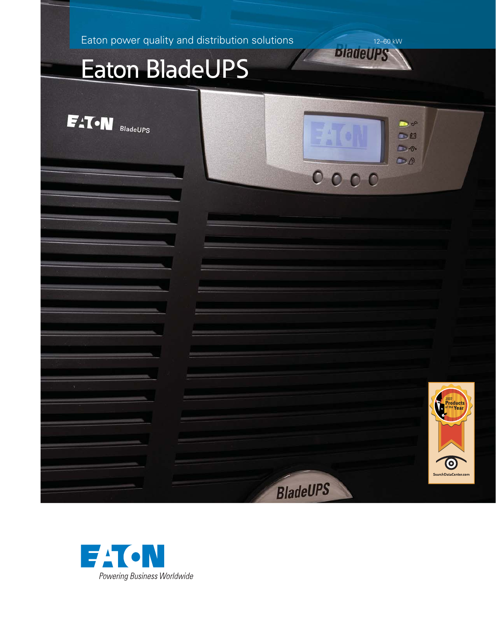Eaton power quality and distribution solutions

# Eaton BladeUPS



**DiadeUPS** 

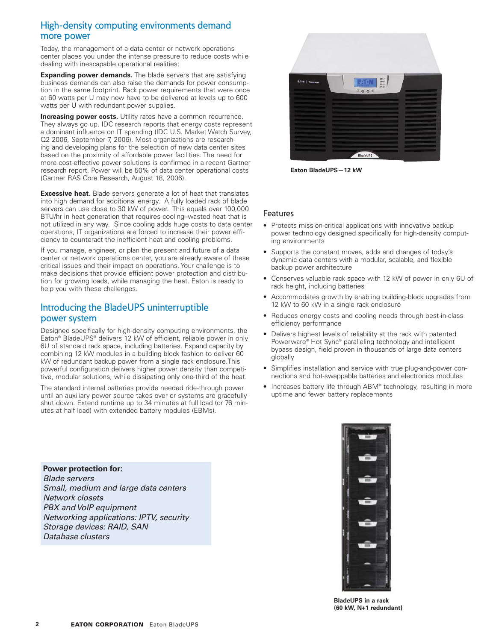## High-density computing environments demand more power

Today, the management of a data center or network operations center places you under the intense pressure to reduce costs while dealing with inescapable operational realities:

**Expanding power demands.** The blade servers that are satisfying business demands can also raise the demands for power consumption in the same footprint. Rack power requirements that were once at 60 watts per U may now have to be delivered at levels up to 600 watts per U with redundant power supplies.

**Increasing power costs.** Utility rates have a common recurrence. They always go up. IDC research reports that energy costs represent a dominant influence on IT spending (IDC U.S. Market Watch Survey, Q2 2006, September 7, 2006). Most organizations are researching and developing plans for the selection of new data center sites based on the proximity of affordable power facilities. The need for more cost-effective power solutions is confirmed in a recent Gartner research report. Power will be 50% of data center operational costs (Gartner RAS Core Research, August 18, 2006).

**Excessive heat.** Blade servers generate a lot of heat that translates into high demand for additional energy. A fully loaded rack of blade servers can use close to 30 kW of power. This equals over 100,000 BTU/hr in heat generation that requires cooling–wasted heat that is not utilized in any way. Since cooling adds huge costs to data center operations, IT organizations are forced to increase their power efficiency to counteract the inefficient heat and cooling problems.

If you manage, engineer, or plan the present and future of a data center or network operations center, you are already aware of these critical issues and their impact on operations. Your challenge is to make decisions that provide efficient power protection and distribution for growing loads, while managing the heat. Eaton is ready to help you with these challenges.

### Introducing the BladeUPS uninterruptible power system

Designed specifically for high-density computing environments, the Eaton® BladeUPS® delivers 12 kW of efficient, reliable power in only 6U of standard rack space, including batteries. Expand capacity by combining 12 kW modules in a building block fashion to deliver 60 kW of redundant backup power from a single rack enclosure.This powerful configuration delivers higher power density than competitive, modular solutions, while dissipating only one-third of the heat.

The standard internal batteries provide needed ride-through power until an auxiliary power source takes over or systems are gracefully shut down. Extend runtime up to 34 minutes at full load (or 76 minutes at half load) with extended battery modules (EBMs).



**Eaton BladeUPS—12 kW**

#### Features

- Protects mission-critical applications with innovative backup power technology designed specifically for high-density computing environments
- Supports the constant moves, adds and changes of today's dynamic data centers with a modular, scalable, and flexible backup power architecture
- Conserves valuable rack space with 12 kW of power in only 6U of rack height, including batteries
- Accommodates growth by enabling building-block upgrades from 12 kW to 60 kW in a single rack enclosure
- Reduces energy costs and cooling needs through best-in-class efficiency performance
- Delivers highest levels of reliability at the rack with patented Powerware® Hot Sync® paralleling technology and intelligent bypass design, field proven in thousands of large data centers globally
- Simplifies installation and service with true plug-and-power connections and hot-swappable batteries and electronics modules
- Increases battery life through ABM® technology, resulting in more uptime and fewer battery replacements

**Power protection for:** *Blade servers Small, medium and large data centers Network closets PBX and VoIP equipment Networking applications: IPTV, security Storage devices: RAID, SAN Database clusters*



**BladeUPS in a rack (60 kW, N+1 redundant)**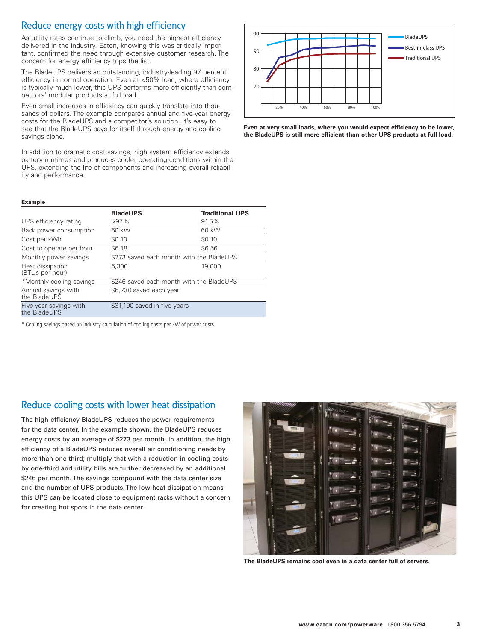## Reduce energy costs with high efficiency

As utility rates continue to climb, you need the highest efficiency delivered in the industry. Eaton, knowing this was critically important, confirmed the need through extensive customer research. The concern for energy efficiency tops the list.

The BladeUPS delivers an outstanding, industry-leading 97 percent efficiency in normal operation. Even at <50% load, where efficiency is typically much lower, this UPS performs more efficiently than competitors' modular products at full load.

Even small increases in efficiency can quickly translate into thousands of dollars. The example compares annual and five-year energy costs for the BladeUPS and a competitor's solution. It's easy to see that the BladeUPS pays for itself through energy and cooling savings alone.

In addition to dramatic cost savings, high system efficiency extends battery runtimes and produces cooler operating conditions within the UPS, extending the life of components and increasing overall reliability and performance.



**Even at very small loads, where you would expect efficiency to be lower, the BladeUPS is still more efficient than other UPS products at full load.**

#### **Example**

|                                        | <b>BladeUPS</b>                          | <b>Traditional UPS</b> |
|----------------------------------------|------------------------------------------|------------------------|
| UPS efficiency rating                  | $>97\%$                                  | 91.5%                  |
| Rack power consumption                 | 60 kW                                    | 60 kW                  |
| Cost per kWh                           | \$0.10                                   | \$0.10                 |
| Cost to operate per hour               | \$6.18                                   | \$6.56                 |
| Monthly power savings                  | \$273 saved each month with the BladeUPS |                        |
| Heat dissipation<br>(BTUs per hour)    | 6.300                                    | 19,000                 |
| *Monthly cooling savings               | \$246 saved each month with the BladeUPS |                        |
| Annual savings with<br>the BladeUPS    | \$6,238 saved each year                  |                        |
| Five-year savings with<br>the BladeUPS | \$31,190 saved in five years             |                        |

\* Cooling savings based on industry calculation of cooling costs per kW of power costs.

### Reduce cooling costs with lower heat dissipation

The high-efficiency BladeUPS reduces the power requirements for the data center. In the example shown, the BladeUPS reduces energy costs by an average of \$273 per month. In addition, the high efficiency of a BladeUPS reduces overall air conditioning needs by more than one third; multiply that with a reduction in cooling costs by one-third and utility bills are further decreased by an additional \$246 per month. The savings compound with the data center size and the number of UPS products. The low heat dissipation means this UPS can be located close to equipment racks without a concern for creating hot spots in the data center.



**The BladeUPS remains cool even in a data center full of servers.**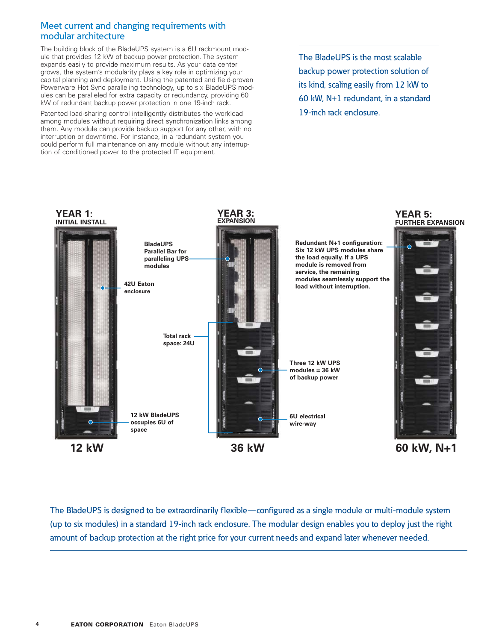#### Meet current and changing requirements with modular architecture

The building block of the BladeUPS system is a 6U rackmount module that provides 12 kW of backup power protection. The system expands easily to provide maximum results. As your data center grows, the system's modularity plays a key role in optimizing your capital planning and deployment. Using the patented and field-proven Powerware Hot Sync paralleling technology, up to six BladeUPS modules can be paralleled for extra capacity or redundancy, providing 60 kW of redundant backup power protection in one 19-inch rack.

Patented load-sharing control intelligently distributes the workload among modules without requiring direct synchronization links among them. Any module can provide backup support for any other, with no interruption or downtime. For instance, in a redundant system you could perform full maintenance on any module without any interruption of conditioned power to the protected IT equipment.

The BladeUPS is the most scalable backup power protection solution of its kind, scaling easily from 12 kW to 60 kW, N+1 redundant, in a standard 19-inch rack enclosure.



The BladeUPS is designed to be extraordinarily flexible—configured as a single module or multi-module system (up to six modules) in a standard 19-inch rack enclosure. The modular design enables you to deploy just the right amount of backup protection at the right price for your current needs and expand later whenever needed.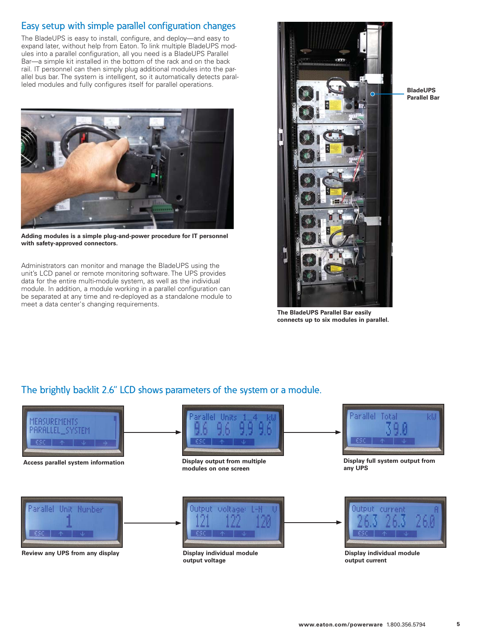## Easy setup with simple parallel configuration changes

The BladeUPS is easy to install, configure, and deploy—and easy to expand later, without help from Eaton. To link multiple BladeUPS modules into a parallel configuration, all you need is a BladeUPS Parallel Bar—a simple kit installed in the bottom of the rack and on the back rail. IT personnel can then simply plug additional modules into the parallel bus bar. The system is intelligent, so it automatically detects paralleled modules and fully configures itself for parallel operations.



**Adding modules is a simple plug-and-power procedure for IT personnel with safety-approved connectors.**

Administrators can monitor and manage the BladeUPS using the unit's LCD panel or remote monitoring software. The UPS provides data for the entire multi-module system, as well as the individual module. In addition, a module working in a parallel configuration can be separated at any time and re-deployed as a standalone module to meet a data center's changing requirements.



**The BladeUPS Parallel Bar easily connects up to six modules in parallel.**

## The brightly backlit 2.6" LCD shows parameters of the system or a module.



**BladeUPS Parallel Bar**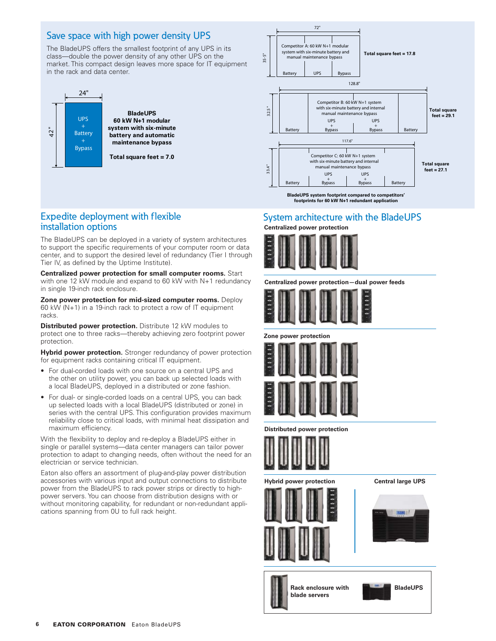## Save space with high power density UPS

The BladeUPS offers the smallest footprint of any UPS in its class—double the power density of any other UPS on the market. This compact design leaves more space for IT equipment in the rack and data center.



**60 kW N+1 modular system with six-minute battery and automatic maintenance bypass**

**Total square feet = 7.0**



**BladeUPS system footprint compared to competitors' footprints for 60 kW N+1 redundant application**

#### Expedite deployment with flexible installation options

The BladeUPS can be deployed in a variety of system architectures to support the specific requirements of your computer room or data center, and to support the desired level of redundancy (Tier I through Tier IV, as defined by the Uptime Institute).

**Centralized power protection for small computer rooms.** Start with one 12 kW module and expand to 60 kW with N+1 redundancy in single 19-inch rack enclosure.

**Zone power protection for mid-sized computer rooms.** Deploy 60 kW (N+1) in a 19-inch rack to protect a row of IT equipment racks.

**Distributed power protection.** Distribute 12 kW modules to protect one to three racks—thereby achieving zero footprint power protection.

**Hybrid power protection.** Stronger redundancy of power protection for equipment racks containing critical IT equipment.

- For dual-corded loads with one source on a central UPS and the other on utility power, you can back up selected loads with a local BladeUPS, deployed in a distributed or zone fashion.
- For dual- or single-corded loads on a central UPS, you can back up selected loads with a local BladeUPS (distributed or zone) in series with the central UPS. This configuration provides maximum reliability close to critical loads, with minimal heat dissipation and maximum efficiency.

With the flexibility to deploy and re-deploy a BladeUPS either in single or parallel systems—data center managers can tailor power protection to adapt to changing needs, often without the need for an electrician or service technician.

Eaton also offers an assortment of plug-and-play power distribution accessories with various input and output connections to distribute power from the BladeUPS to rack power strips or directly to highpower servers. You can choose from distribution designs with or without monitoring capability, for redundant or non-redundant applications spanning from 0U to full rack height.

#### **Centralized power protection** System architecture with the BladeUPS



**Centralized power protection—dual power feeds**







**Distributed power protection**



**Hybrid power protection Central large UPS**









Rack enclosure with **BladeUPS blade servers**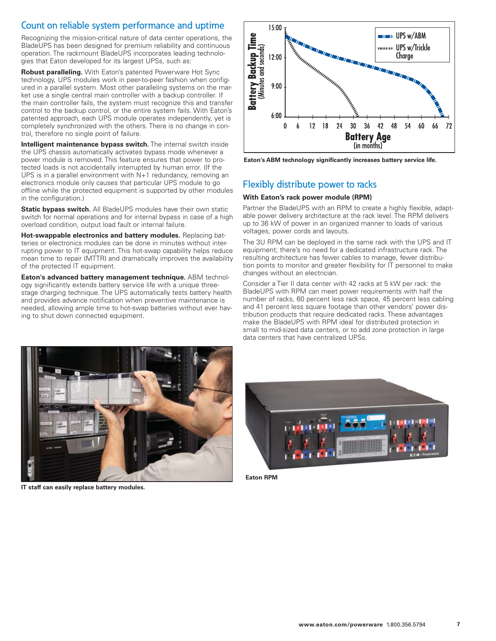## Count on reliable system performance and uptime

Recognizing the mission-critical nature of data center operations, the BladeUPS has been designed for premium reliability and continuous operation. The rackmount BladeUPS incorporates leading technologies that Eaton developed for its largest UPSs, such as:

**Robust paralleling.** With Eaton's patented Powerware Hot Sync technology, UPS modules work in peer-to-peer fashion when configured in a parallel system. Most other paralleling systems on the market use a single central main controller with a backup controller. If the main controller fails, the system must recognize this and transfer control to the backup control, or the entire system fails. With Eaton's patented approach, each UPS module operates independently, yet is completely synchronized with the others. There is no change in control, therefore no single point of failure.

**Intelligent maintenance bypass switch.** The internal switch inside the UPS chassis automatically activates bypass mode whenever a power module is removed. This feature ensures that power to protected loads is not accidentally interrupted by human error. (If the UPS is in a parallel environment with N+1 redundancy, removing an electronics module only causes that particular UPS module to go offline while the protected equipment is supported by other modules in the configuration.)

**Static bypass switch.** All BladeUPS modules have their own static switch for normal operations and for internal bypass in case of a high overload condition, output load fault or internal failure.

**Hot-swappable electronics and battery modules.** Replacing batteries or electronics modules can be done in minutes without interrupting power to IT equipment. This hot-swap capability helps reduce mean time to repair (MTTR) and dramatically improves the availability of the protected IT equipment.

**Eaton's advanced battery management technique.** ABM technology significantly extends battery service life with a unique threestage charging technique. The UPS automatically tests battery health and provides advance notification when preventive maintenance is needed, allowing ample time to hot-swap batteries without ever having to shut down connected equipment.



**Eaton's ABM technology significantly increases battery service life.**

## Flexibly distribute power to racks

#### **With Eaton's rack power module (RPM)**

Partner the BladeUPS with an RPM to create a highly flexible, adaptable power delivery architecture at the rack level. The RPM delivers up to 36 kW of power in an organized manner to loads of various voltages, power cords and layouts.

The 3U RPM can be deployed in the same rack with the UPS and IT equipment; there's no need for a dedicated infrastructure rack. The resulting architecture has fewer cables to manage, fewer distribution points to monitor and greater flexibility for IT personnel to make changes without an electrician.

Consider a Tier II data center with 42 racks at 5 kW per rack: the BladeUPS with RPM can meet power requirements with half the number of racks, 60 percent less rack space, 45 percent less cabling and 41 percent less square footage than other vendors' power distribution products that require dedicated racks. These advantages make the BladeUPS with RPM ideal for distributed protection in small to mid-sized data centers, or to add zone protection in large data centers that have centralized UPSs.



**IT staff can easily replace battery modules.**



**Eaton RPM**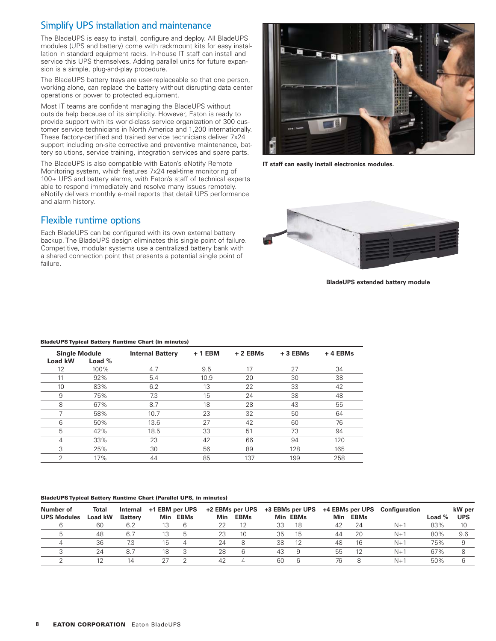## Simplify UPS installation and maintenance

The BladeUPS is easy to install, configure and deploy. All BladeUPS modules (UPS and battery) come with rackmount kits for easy installation in standard equipment racks. In-house IT staff can install and service this UPS themselves. Adding parallel units for future expansion is a simple, plug-and-play procedure.

The BladeUPS battery trays are user-replaceable so that one person, working alone, can replace the battery without disrupting data center operations or power to protected equipment.

Most IT teams are confident managing the BladeUPS without outside help because of its simplicity. However, Eaton is ready to provide support with its world-class service organization of 300 customer service technicians in North America and 1,200 internationally. These factory-certified and trained service technicians deliver 7x24 support including on-site corrective and preventive maintenance, battery solutions, service training, integration services and spare parts.

The BladeUPS is also compatible with Eaton's eNotify Remote Monitoring system, which features 7x24 real-time monitoring of 100+ UPS and battery alarms, with Eaton's staff of technical experts able to respond immediately and resolve many issues remotely. eNotify delivers monthly e-mail reports that detail UPS performance and alarm history.

## Flexible runtime options

Each BladeUPS can be configured with its own external battery backup. The BladeUPS design eliminates this single point of failure. Competitive, modular systems use a centralized battery bank with a shared connection point that presents a potential single point of failure.



**IT staff can easily install electronics modules.**



**BladeUPS extended battery module**

#### **BladeUPS Typical Battery Runtime Chart (in minutes)**

| <b>Single Module</b><br>Load kW | Load $%$ | <b>Internal Battery</b> | $+1$ EBM | $+2$ EBMs | $+3$ EBMs | +4 EBMs |
|---------------------------------|----------|-------------------------|----------|-----------|-----------|---------|
| 12                              | 100%     | 4.7                     | 9.5      | 17        | 27        | 34      |
| 11                              | 92%      | 5.4                     | 10.9     | 20        | 30        | 38      |
| 10                              | 83%      | 6.2                     | 13       | 22        | 33        | 42      |
| 9                               | 75%      | 7.3                     | 15       | 24        | 38        | 48      |
| 8                               | 67%      | 8.7                     | 18       | 28        | 43        | 55      |
| 7                               | 58%      | 10.7                    | 23       | 32        | 50        | 64      |
| 6                               | 50%      | 13.6                    | 27       | 42        | 60        | 76      |
| 5                               | 42%      | 18.5                    | 33       | 51        | 73        | 94      |
| 4                               | 33%      | 23                      | 42       | 66        | 94        | 120     |
| 3                               | 25%      | 30                      | 56       | 89        | 128       | 165     |
| $\overline{2}$                  | 17%      | 44                      | 85       | 137       | 199       | 258     |

#### **BladeUPS Typical Battery Runtime Chart (Parallel UPS, in minutes)**

| Number of          | Total   | Internal       | +1 EBM per UPS |      |            | +2 EBMs per UPS |    | +3 EBMs per UPS |            | +4 EBMs per UPS | <b>Configuration</b> |          | kW per     |
|--------------------|---------|----------------|----------------|------|------------|-----------------|----|-----------------|------------|-----------------|----------------------|----------|------------|
| <b>UPS Modules</b> | Load kW | <b>Battery</b> | Min            | EBMs | <b>Min</b> | <b>EBMs</b>     |    | Min EBMs        | <b>Min</b> | <b>EBMs</b>     |                      | Load $%$ | <b>UPS</b> |
|                    | 60      | 6.2            |                |      |            |                 | 33 | 18              | 42         | 24              | $N+1$                | 83%      | 10         |
|                    | 48      | 6.7            |                |      | 23         | 10              | 35 | 15              | 44         | 20              | N+:                  | 80%      | 9.6        |
|                    | 36      | 7.3            |                |      | 24         |                 | 38 | 12              | 48         | 16              | $N+1$                | 75%      |            |
|                    | 24      | $8-$           |                |      | 28         |                 | 43 | ч               | 55         |                 | N+                   | 67%      |            |
|                    | 12      | 14             |                |      | 42         |                 | 60 | b               | 76         |                 | N+                   | 50%      |            |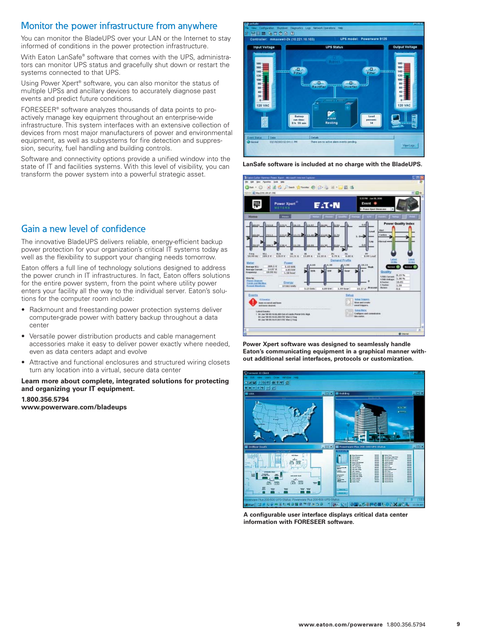## Monitor the power infrastructure from anywhere

You can monitor the BladeUPS over your LAN or the Internet to stay informed of conditions in the power protection infrastructure.

With Eaton LanSafe® software that comes with the UPS, administrators can monitor UPS status and gracefully shut down or restart the systems connected to that UPS.

Using Power Xpert<sup>®</sup> software, you can also monitor the status of multiple UPSs and ancillary devices to accurately diagnose past events and predict future conditions.

FORESEER® software analyzes thousands of data points to proactively manage key equipment throughout an enterprise-wide infrastructure. This system interfaces with an extensive collection of devices from most major manufacturers of power and environmental equipment, as well as subsystems for fire detection and suppression, security, fuel handling and building controls.

Software and connectivity options provide a unified window into the state of IT and facilities systems. With this level of visibility, you can transform the power system into a powerful strategic asset.

## **翌日画 多古の日 日** Controller: mmaxwell-2k (10.221.10.103) **UPS model: Powerware 9125 Input Voltage** лп. AB<sub>2</sub>  $10<sub>0</sub>$ SOURCE Sect BM

**LanSafe software is included at no charge with the BladeUPS.**



**Power Xpert software was designed to seamlessly handle Eaton's communicating equipment in a graphical manner without additional serial interfaces, protocols or customization.**



**A configurable user interface displays critical data center information with FORESEER software.**

## Gain a new level of confidence

The innovative BladeUPS delivers reliable, energy-efficient backup power protection for your organization's critical IT systems today as well as the flexibility to support your changing needs tomorrow.

Eaton offers a full line of technology solutions designed to address the power crunch in IT infrastructures. In fact, Eaton offers solutions for the entire power system, from the point where utility power enters your facility all the way to the individual server. Eaton's solutions for the computer room include:

- Rackmount and freestanding power protection systems deliver computer-grade power with battery backup throughout a data center
- Versatile power distribution products and cable management accessories make it easy to deliver power exactly where needed, even as data centers adapt and evolve
- Attractive and functional enclosures and structured wiring closets turn any location into a virtual, secure data center

#### **Learn more about complete, integrated solutions for protecting and organizing your IT equipment.**

**1.800.356.5794 www.powerware.com/bladeups**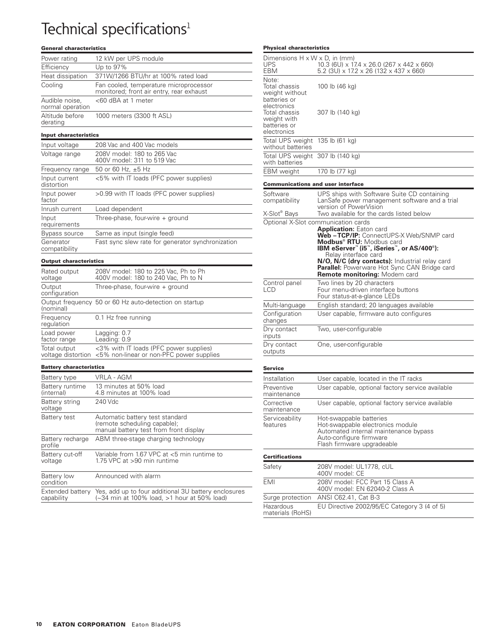## Technical specifications<sup>1</sup>

#### **General characteristics**

| Power rating                       | 12 kW per UPS module                                                               |
|------------------------------------|------------------------------------------------------------------------------------|
| Efficiency                         | Up to 97%                                                                          |
| Heat dissipation                   | 371W/1266 BTU/hr at 100% rated load                                                |
| Cooling                            | Fan cooled, temperature microprocessor<br>monitored; front air entry, rear exhaust |
| Audible noise,<br>normal operation | <60 dBA at 1 meter                                                                 |
| Altitude before<br>derating        | 1000 meters (3300 ft ASL)                                                          |
| <b>Input characteristics</b>       |                                                                                    |
| Input voltage                      | 208 Vac and 400 Vac models                                                         |
| Voltage range                      | 208V model: 180 to 265 Vac<br>400V model: 311 to 519 Vac                           |
| Frequency range                    | 50 or 60 Hz, ±5 Hz                                                                 |
| Input current<br>distortion        | <5% with IT loads (PFC power supplies)                                             |
| Input power<br>factor              | >0.99 with IT loads (PFC power supplies)                                           |
| Inrush current                     | Load dependent                                                                     |
| Input<br>requirements              | Three-phase, four-wire + ground                                                    |
| <b>Bypass source</b>               | Same as input (single feed)                                                        |
| Generator<br>compatibility         | Fast sync slew rate for generator synchronization                                  |
| <b>Output characteristics</b>      |                                                                                    |
| Rated output                       | 208V model: 180 to 225 Vac, Ph to Ph                                               |

| Rated output<br>voltage    | 208V model: 180 to 225 Vac, Ph to Ph<br>400V model: 180 to 240 Vac, Ph to N                              |
|----------------------------|----------------------------------------------------------------------------------------------------------|
| Output<br>configuration    | Three-phase, four-wire + ground                                                                          |
| (nominal)                  | Output frequency 50 or 60 Hz auto-detection on startup                                                   |
| Frequency<br>requlation    | 0.1 Hz free running                                                                                      |
| Load power<br>factor range | Lagging: 0.7<br>Leading: 0.9                                                                             |
| Total output               | <3% with IT loads (PFC power supplies)<br>voltage distortion $<5\%$ non-linear or non-PFC power supplies |

#### **Battery characteristics**

| Battery type                  | VRLA - AGM                                                                                                           |
|-------------------------------|----------------------------------------------------------------------------------------------------------------------|
| Battery runtime<br>(internal) | 13 minutes at 50% load<br>4.8 minutes at 100% load                                                                   |
| Battery string<br>voltage     | 240 Vdc                                                                                                              |
| Battery test                  | Automatic battery test standard<br>(remote scheduling capable);<br>manual battery test from front display            |
| Battery recharge<br>profile   | ABM three-stage charging technology                                                                                  |
| Battery cut-off<br>voltage    | Variable from 1.67 VPC at <5 min runtime to<br>1.75 VPC at >90 min runtime                                           |
| Battery low<br>condition      | Announced with alarm                                                                                                 |
| capability                    | Extended battery Yes, add up to four additional 3U battery enclosures<br>(~34 min at 100% load, >1 hour at 50% load) |

#### **Physical characteristics**

| Physical characteristics                                                |                                                                                                                                                                                                                                                                                                            |
|-------------------------------------------------------------------------|------------------------------------------------------------------------------------------------------------------------------------------------------------------------------------------------------------------------------------------------------------------------------------------------------------|
| Dimensions $H \times W \times D$ , in (mm)<br>UPS<br>EBM                | 10.3 (6U) x 17.4 x 26.0 (267 x 442 x 660)<br>5.2 (3U) x 17.2 x 26 (132 x 437 x 660)                                                                                                                                                                                                                        |
| Note:<br>Total chassis<br>weight without<br>batteries or<br>electronics | 100 lb (46 kg)                                                                                                                                                                                                                                                                                             |
| Total chassis<br>weight with<br>batteries or<br>electronics             | 307 lb (140 kg)                                                                                                                                                                                                                                                                                            |
| Total UPS weight<br>without batteries                                   | 135 lb (61 kg)                                                                                                                                                                                                                                                                                             |
| Total UPS weight 307 lb (140 kg)<br>with batteries                      |                                                                                                                                                                                                                                                                                                            |
| <b>EBM</b> weight                                                       | 170 lb (77 kg)                                                                                                                                                                                                                                                                                             |
| <b>Communications and user interface</b>                                |                                                                                                                                                                                                                                                                                                            |
| Software<br>compatibility                                               | UPS ships with Software Suite CD containing<br>LanSafe power management software and a trial<br>version of PowerVision                                                                                                                                                                                     |
| X-Slot <sup>®</sup> Bays                                                | Two available for the cards listed below<br>Optional X-Slot communication cards                                                                                                                                                                                                                            |
|                                                                         | Web-TCP/IP: ConnectUPS-X Web/SNMP card<br>Modbus <sup>®</sup> RTU: Modbus card<br>IBM eServer" (i5", iSeries", or AS/400 <sup>®</sup> ):<br>Relay interface card<br>N/O, N/C (dry contacts): Industrial relay card<br>Parallel: Powerware Hot Sync CAN Bridge card<br><b>Remote monitoring:</b> Modem card |
| Control panel<br>LCD                                                    | Two lines by 20 characters<br>Four menu-driven interface buttons<br>Four status-at-a-glance LEDs                                                                                                                                                                                                           |
| Multi-language                                                          | English standard; 20 languages available                                                                                                                                                                                                                                                                   |
| Configuration<br>changes                                                | User capable, firmware auto configures                                                                                                                                                                                                                                                                     |
| Dry contact<br>inputs                                                   | Two, user-configurable                                                                                                                                                                                                                                                                                     |
| Dry contact<br>outputs                                                  | One, user-configurable                                                                                                                                                                                                                                                                                     |
| Service                                                                 |                                                                                                                                                                                                                                                                                                            |
| Installation                                                            | User capable, located in the IT racks                                                                                                                                                                                                                                                                      |
| Preventive<br>maintenance                                               | User capable, optional factory service available                                                                                                                                                                                                                                                           |
| Corrective<br>maintenance                                               | User capable, optional factory service available                                                                                                                                                                                                                                                           |
| Serviceability<br>features                                              | Hot-swappable batteries<br>Hot-swappable electronics module<br>Automated internal maintenance bypass<br>Auto-configure firmware<br>Flash firmware upgradeable                                                                                                                                              |
| <b>Certifications</b>                                                   |                                                                                                                                                                                                                                                                                                            |
|                                                                         |                                                                                                                                                                                                                                                                                                            |

| Installation                  | User capable, located in the IT racks                                                                                                                         |
|-------------------------------|---------------------------------------------------------------------------------------------------------------------------------------------------------------|
| Preventive<br>maintenance     | User capable, optional factory service available                                                                                                              |
| Corrective<br>maintenance     | User capable, optional factory service available                                                                                                              |
| Serviceability<br>features    | Hot-swappable batteries<br>Hot-swappable electronics module<br>Automated internal maintenance bypass<br>Auto-configure firmware<br>Flash firmware upgradeable |
| <b>Certifications</b>         |                                                                                                                                                               |
| Safety                        | 208V model: UL1778, cUL<br>400V model: CE                                                                                                                     |
| EMI                           | 208V model: FCC Part 15 Class A<br>400V model: EN 62040-2 Class A                                                                                             |
| Surge protection              | ANSI C62.41, Cat B-3                                                                                                                                          |
| Hazardous<br>materials (RoHS) | EU Directive 2002/95/EC Category 3 (4 of 5)                                                                                                                   |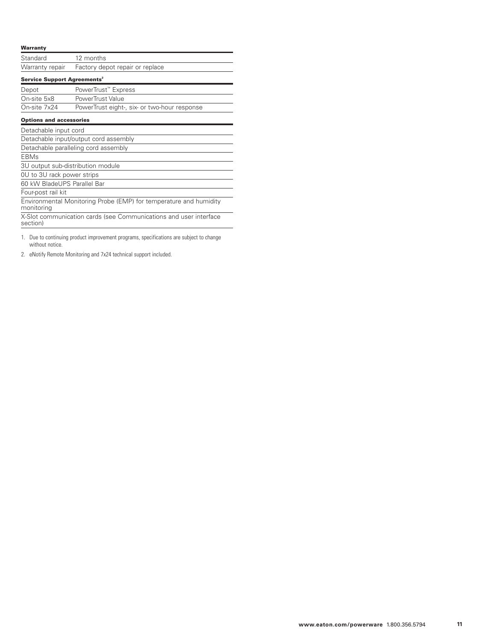#### **Warranty**

| Standard                                | 12 months                                                                             |
|-----------------------------------------|---------------------------------------------------------------------------------------|
| Warranty repair                         | Factory depot repair or replace                                                       |
| Service Support Agreements <sup>2</sup> |                                                                                       |
| Depot                                   | PowerTrust™ Express                                                                   |
| On-site 5x8                             | PowerTrust Value                                                                      |
| On-site 7x24                            | PowerTrust eight-, six- or two-hour response                                          |
| <b>Options and accessories</b>          |                                                                                       |
| Detachable input cord                   |                                                                                       |
|                                         | Detachable input/output cord assembly                                                 |
|                                         | Detachable paralleling cord assembly                                                  |
| <b>EBMs</b>                             |                                                                                       |
|                                         | 3U output sub-distribution module                                                     |
| 0U to 3U rack power strips              |                                                                                       |
| 60 kW BladeUPS Parallel Bar             |                                                                                       |
| Four-post rail kit                      |                                                                                       |
| monitoring                              | Environmental Monitoring Probe (EMP) for temperature and humidity                     |
| section)                                | X-Slot communication cards (see Communications and user interface                     |
|                                         | 1 Due to continuing product improvement programs, apositionismo are subject to obenge |

1. Due to continuing product improvement programs, specifications are subject to change without notice.

2. eNotify Remote Monitoring and 7x24 technical support included.